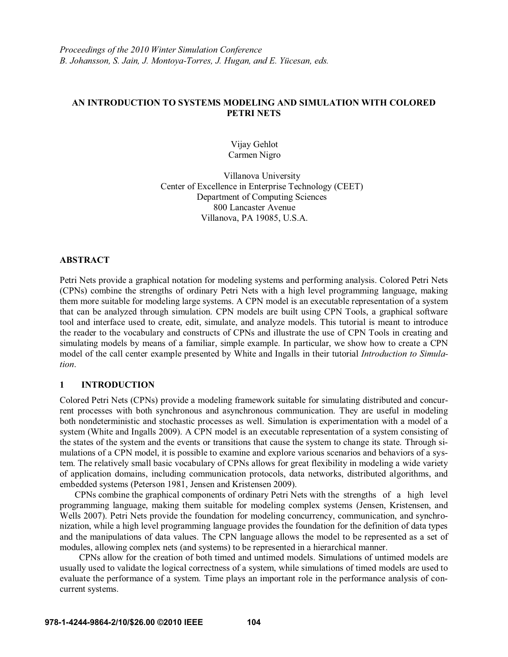# **AN INTRODUCTION TO SYSTEMS MODELING AND SIMULATION WITH COLORED PETRI NETS**

Vijay Gehlot Carmen Nigro

Villanova University Center of Excellence in Enterprise Technology (CEET) Department of Computing Sciences 800 Lancaster Avenue Villanova, PA 19085, U.S.A.

## **ABSTRACT**

Petri Nets provide a graphical notation for modeling systems and performing analysis. Colored Petri Nets (CPNs) combine the strengths of ordinary Petri Nets with a high level programming language, making them more suitable for modeling large systems. A CPN model is an executable representation of a system that can be analyzed through simulation. CPN models are built using CPN Tools, a graphical software tool and interface used to create, edit, simulate, and analyze models. This tutorial is meant to introduce the reader to the vocabulary and constructs of CPNs and illustrate the use of CPN Tools in creating and simulating models by means of a familiar, simple example. In particular, we show how to create a CPN model of the call center example presented by White and Ingalls in their tutorial *Introduction to Simulation*.

# **1 INTRODUCTION**

Colored Petri Nets (CPNs) provide a modeling framework suitable for simulating distributed and concurrent processes with both synchronous and asynchronous communication. They are useful in modeling both nondeterministic and stochastic processes as well. Simulation is experimentation with a model of a system (White and Ingalls 2009). A CPN model is an executable representation of a system consisting of the states of the system and the events or transitions that cause the system to change its state. Through simulations of a CPN model, it is possible to examine and explore various scenarios and behaviors of a system. The relatively small basic vocabulary of CPNs allows for great flexibility in modeling a wide variety of application domains, including communication protocols, data networks, distributed algorithms, and embedded systems (Peterson 1981, Jensen and Kristensen 2009).

 CPNs combine the graphical components of ordinary Petri Nets with the strengths of a high level programming language, making them suitable for modeling complex systems (Jensen, Kristensen, and Wells 2007). Petri Nets provide the foundation for modeling concurrency, communication, and synchronization, while a high level programming language provides the foundation for the definition of data types and the manipulations of data values. The CPN language allows the model to be represented as a set of modules, allowing complex nets (and systems) to be represented in a hierarchical manner.

 CPNs allow for the creation of both timed and untimed models. Simulations of untimed models are usually used to validate the logical correctness of a system, while simulations of timed models are used to evaluate the performance of a system. Time plays an important role in the performance analysis of concurrent systems.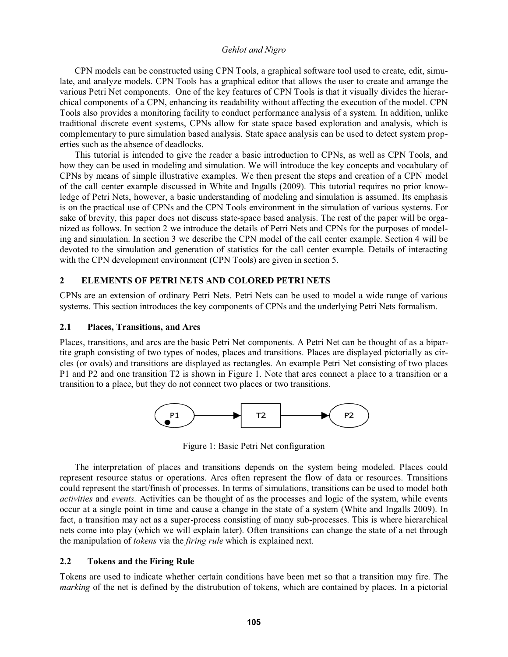CPN models can be constructed using CPN Tools, a graphical software tool used to create, edit, simulate, and analyze models. CPN Tools has a graphical editor that allows the user to create and arrange the various Petri Net components. One of the key features of CPN Tools is that it visually divides the hierarchical components of a CPN, enhancing its readability without affecting the execution of the model. CPN Tools also provides a monitoring facility to conduct performance analysis of a system. In addition, unlike traditional discrete event systems, CPNs allow for state space based exploration and analysis, which is complementary to pure simulation based analysis. State space analysis can be used to detect system properties such as the absence of deadlocks.

 This tutorial is intended to give the reader a basic introduction to CPNs, as well as CPN Tools, and how they can be used in modeling and simulation. We will introduce the key concepts and vocabulary of CPNs by means of simple illustrative examples. We then present the steps and creation of a CPN model of the call center example discussed in White and Ingalls (2009). This tutorial requires no prior knowledge of Petri Nets, however, a basic understanding of modeling and simulation is assumed. Its emphasis is on the practical use of CPNs and the CPN Tools environment in the simulation of various systems. For sake of brevity, this paper does not discuss state-space based analysis. The rest of the paper will be organized as follows. In section 2 we introduce the details of Petri Nets and CPNs for the purposes of modeling and simulation. In section 3 we describe the CPN model of the call center example. Section 4 will be devoted to the simulation and generation of statistics for the call center example. Details of interacting with the CPN development environment (CPN Tools) are given in section 5.

## **2 ELEMENTS OF PETRI NETS AND COLORED PETRI NETS**

CPNs are an extension of ordinary Petri Nets. Petri Nets can be used to model a wide range of various systems. This section introduces the key components of CPNs and the underlying Petri Nets formalism.

#### **2.1 Places, Transitions, and Arcs**

Places, transitions, and arcs are the basic Petri Net components. A Petri Net can be thought of as a bipartite graph consisting of two types of nodes, places and transitions. Places are displayed pictorially as circles (or ovals) and transitions are displayed as rectangles. An example Petri Net consisting of two places P1 and P2 and one transition T2 is shown in Figure 1. Note that arcs connect a place to a transition or a transition to a place, but they do not connect two places or two transitions.



Figure 1: Basic Petri Net configuration

The interpretation of places and transitions depends on the system being modeled. Places could represent resource status or operations. Arcs often represent the flow of data or resources. Transitions could represent the start/finish of processes. In terms of simulations, transitions can be used to model both *activities* and *events.* Activities can be thought of as the processes and logic of the system, while events occur at a single point in time and cause a change in the state of a system (White and Ingalls 2009). In fact, a transition may act as a super-process consisting of many sub-processes. This is where hierarchical nets come into play (which we will explain later). Often transitions can change the state of a net through the manipulation of *tokens* via the *firing rule* which is explained next.

## **2.2 Tokens and the Firing Rule**

Tokens are used to indicate whether certain conditions have been met so that a transition may fire. The *marking* of the net is defined by the distrubution of tokens, which are contained by places. In a pictorial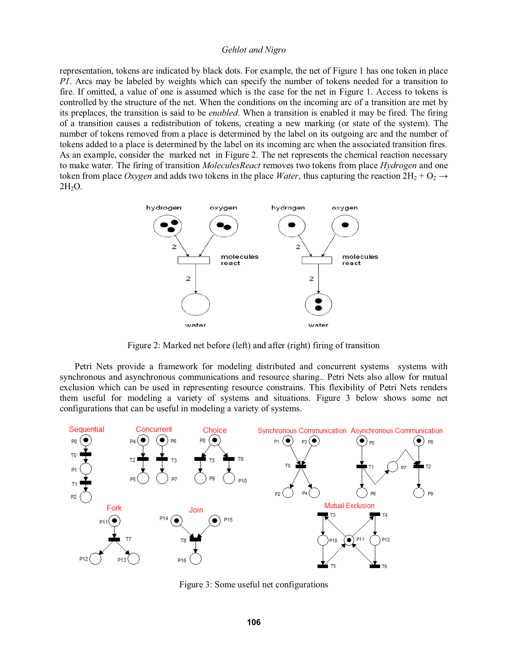representation, tokens are indicated by black dots. For example, the net of Figure 1 has one token in place *P1*. Arcs may be labeled by weights which can specify the number of tokens needed for a transition to fire. If omitted, a value of one is assumed which is the case for the net in Figure 1. Access to tokens is controlled by the structure of the net. When the conditions on the incoming arc of a transition are met by its preplaces, the transition is said to be *enabled*. When a transition is enabled it may be fired. The firing of a transition causes a redistribution of tokens, creating a new marking (or state of the system). The number of tokens removed from a place is determined by the label on its outgoing arc and the number of tokens added to a place is determined by the label on its incoming arc when the associated transition fires. As an example, consider the marked net in Figure 2. The net represents the chemical reaction necessary to make water. The firing of transition *MoleculesReact* removes two tokens from place *Hydrogen* and one token from place *Oxygen* and adds two tokens in the place *Water*, thus capturing the reaction  $2H_2 + O_2 \rightarrow$ 2H<sub>2</sub>O.



Figure 2: Marked net before (left) and after (right) firing of transition

Petri Nets provide a framework for modeling distributed and concurrent systems systems with synchronous and asynchronous communications and resource sharing.. Petri Nets also allow for mutual exclusion which can be used in representing resource constrains. This flexibility of Petri Nets renders them useful for modeling a variety of systems and situations. Figure 3 below shows some net configurations that can be useful in modeling a variety of systems.



Figure 3: Some useful net configurations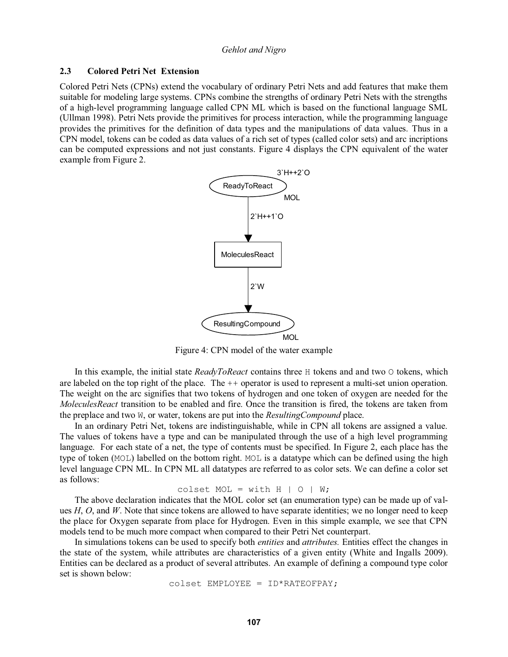#### **2.3 Colored Petri Net Extension**

Colored Petri Nets (CPNs) extend the vocabulary of ordinary Petri Nets and add features that make them suitable for modeling large systems. CPNs combine the strengths of ordinary Petri Nets with the strengths of a high-level programming language called CPN ML which is based on the functional language SML (Ullman 1998). Petri Nets provide the primitives for process interaction, while the programming language provides the primitives for the definition of data types and the manipulations of data values. Thus in a CPN model, tokens can be coded as data values of a rich set of types (called color sets) and arc incriptions can be computed expressions and not just constants. Figure 4 displays the CPN equivalent of the water example from Figure 2.



Figure 4: CPN model of the water example

 In this example, the initial state *ReadyToReact* contains three H tokens and and two O tokens, which are labeled on the top right of the place. The  $++$  operator is used to represent a multi-set union operation. The weight on the arc signifies that two tokens of hydrogen and one token of oxygen are needed for the *MoleculesReact* transition to be enabled and fire. Once the transition is fired, the tokens are taken from the preplace and two W, or water, tokens are put into the *ResultingCompound* place.

 In an ordinary Petri Net, tokens are indistinguishable, while in CPN all tokens are assigned a value. The values of tokens have a type and can be manipulated through the use of a high level programming language. For each state of a net, the type of contents must be specified. In Figure 2, each place has the type of token (MOL) labelled on the bottom right. MOL is a datatype which can be defined using the high level language CPN ML. In CPN ML all datatypes are referred to as color sets. We can define a color set as follows:

$$
colset MOL = with H | O | W;
$$

The above declaration indicates that the MOL color set (an enumeration type) can be made up of values *H*, *O*, and *W*. Note that since tokens are allowed to have separate identities; we no longer need to keep the place for Oxygen separate from place for Hydrogen. Even in this simple example, we see that CPN models tend to be much more compact when compared to their Petri Net counterpart.

In simulations tokens can be used to specify both *entities* and *attributes.* Entities effect the changes in the state of the system, while attributes are characteristics of a given entity (White and Ingalls 2009). Entities can be declared as a product of several attributes. An example of defining a compound type color set is shown below:

```
colset EMPLOYEE = ID*RATEOFPAY;
```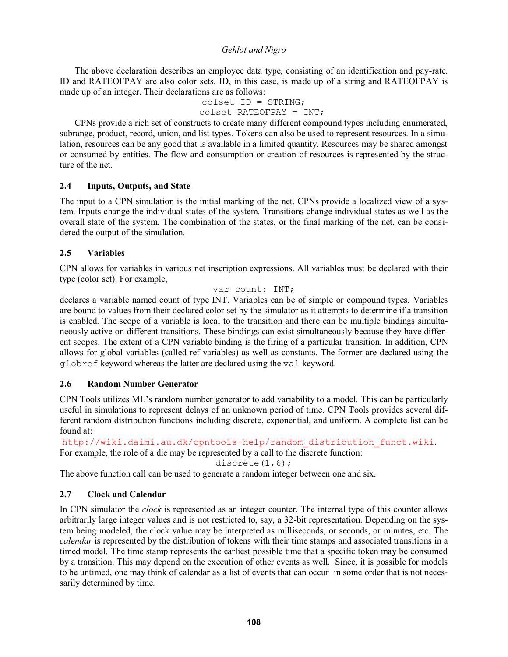The above declaration describes an employee data type, consisting of an identification and pay-rate. ID and RATEOFPAY are also color sets. ID, in this case, is made up of a string and RATEOFPAY is made up of an integer. Their declarations are as follows:

colset ID = STRING; colset RATEOFPAY = INT;

CPNs provide a rich set of constructs to create many different compound types including enumerated, subrange, product, record, union, and list types. Tokens can also be used to represent resources. In a simulation, resources can be any good that is available in a limited quantity. Resources may be shared amongst or consumed by entities. The flow and consumption or creation of resources is represented by the structure of the net.

# **2.4 Inputs, Outputs, and State**

The input to a CPN simulation is the initial marking of the net. CPNs provide a localized view of a system. Inputs change the individual states of the system. Transitions change individual states as well as the overall state of the system. The combination of the states, or the final marking of the net, can be considered the output of the simulation.

# **2.5 Variables**

CPN allows for variables in various net inscription expressions. All variables must be declared with their type (color set). For example,

var count: INT;

declares a variable named count of type INT. Variables can be of simple or compound types. Variables are bound to values from their declared color set by the simulator as it attempts to determine if a transition is enabled. The scope of a variable is local to the transition and there can be multiple bindings simultaneously active on different transitions. These bindings can exist simultaneously because they have different scopes. The extent of a CPN variable binding is the firing of a particular transition. In addition, CPN allows for global variables (called ref variables) as well as constants. The former are declared using the globref keyword whereas the latter are declared using the val keyword.

# **2.6 Random Number Generator**

CPN Tools utilizes ML's random number generator to add variability to a model. This can be particularly useful in simulations to represent delays of an unknown period of time. CPN Tools provides several different random distribution functions including discrete, exponential, and uniform. A complete list can be found at:

http://wiki.daimi.au.dk/cpntools-help/random\_distribution\_funct.wiki. For example, the role of a die may be represented by a call to the discrete function:

discrete(1,6);

The above function call can be used to generate a random integer between one and six.

# **2.7 Clock and Calendar**

In CPN simulator the *clock* is represented as an integer counter. The internal type of this counter allows arbitrarily large integer values and is not restricted to, say, a 32-bit representation. Depending on the system being modeled, the clock value may be interpreted as milliseconds, or seconds, or minutes, etc. The *calendar* is represented by the distribution of tokens with their time stamps and associated transitions in a timed model. The time stamp represents the earliest possible time that a specific token may be consumed by a transition. This may depend on the execution of other events as well. Since, it is possible for models to be untimed, one may think of calendar as a list of events that can occur in some order that is not necessarily determined by time.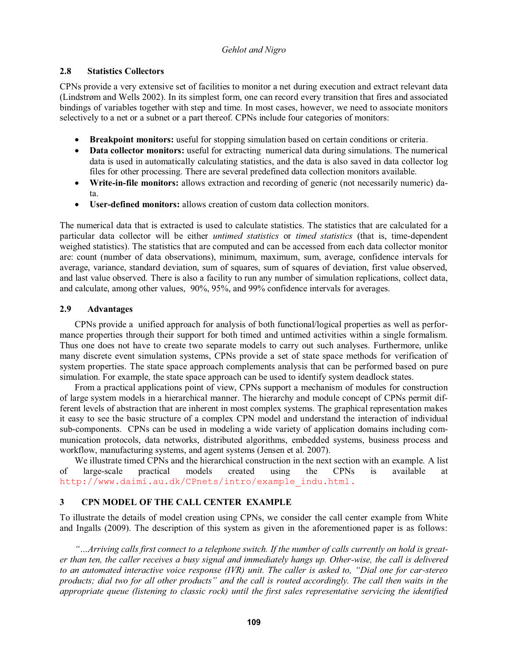# **2.8 Statistics Collectors**

CPNs provide a very extensive set of facilities to monitor a net during execution and extract relevant data (Lindstrøm and Wells 2002). In its simplest form, one can record every transition that fires and associated bindings of variables together with step and time. In most cases, however, we need to associate monitors selectively to a net or a subnet or a part thereof. CPNs include four categories of monitors:

- -**Breakpoint monitors:** useful for stopping simulation based on certain conditions or criteria.
- $\bullet$  **Data collector monitors:** useful for extracting numerical data during simulations. The numerical data is used in automatically calculating statistics, and the data is also saved in data collector log files for other processing. There are several predefined data collection monitors available.
- **Write-in-file monitors:** allows extraction and recording of generic (not necessarily numeric) data.
- $\bullet$ **User-defined monitors:** allows creation of custom data collection monitors.

The numerical data that is extracted is used to calculate statistics. The statistics that are calculated for a particular data collector will be either *untimed statistics* or *timed statistics* (that is, time-dependent weighed statistics). The statistics that are computed and can be accessed from each data collector monitor are: count (number of data observations), minimum, maximum, sum, average, confidence intervals for average, variance, standard deviation, sum of squares, sum of squares of deviation, first value observed, and last value observed. There is also a facility to run any number of simulation replications, collect data, and calculate, among other values, 90%, 95%, and 99% confidence intervals for averages.

## **2.9 Advantages**

CPNs provide a unified approach for analysis of both functional/logical properties as well as performance properties through their support for both timed and untimed activities within a single formalism. Thus one does not have to create two separate models to carry out such analyses. Furthermore, unlike many discrete event simulation systems, CPNs provide a set of state space methods for verification of system properties. The state space approach complements analysis that can be performed based on pure simulation. For example, the state space approach can be used to identify system deadlock states.

From a practical applications point of view, CPNs support a mechanism of modules for construction of large system models in a hierarchical manner. The hierarchy and module concept of CPNs permit different levels of abstraction that are inherent in most complex systems. The graphical representation makes it easy to see the basic structure of a complex CPN model and understand the interaction of individual sub-components. CPNs can be used in modeling a wide variety of application domains including communication protocols, data networks, distributed algorithms, embedded systems, business process and workflow, manufacturing systems, and agent systems (Jensen et al. 2007).

We illustrate timed CPNs and the hierarchical construction in the next section with an example. A list of large-scale practical models created using the CPNs is available at http://www.daimi.au.dk/CPnets/intro/example\_indu.html.

# **3 CPN MODEL OF THE CALL CENTER EXAMPLE**

To illustrate the details of model creation using CPNs, we consider the call center example from White and Ingalls (2009). The description of this system as given in the aforementioned paper is as follows:

"...Arriving calls first connect to a telephone switch. If the number of calls currently on hold is great*er than ten, the caller receives a busy signal and immediately hangs up. Other-wise, the call is delivered to* an automated interactive voice response (IVR) unit. The caller is asked to, "Dial one for car-stereo *net* products; dial two for all other products" and the call is routed accordingly. The call then waits in the *appropriate queue (listening to classic rock) until the first sales representative servicing the identified*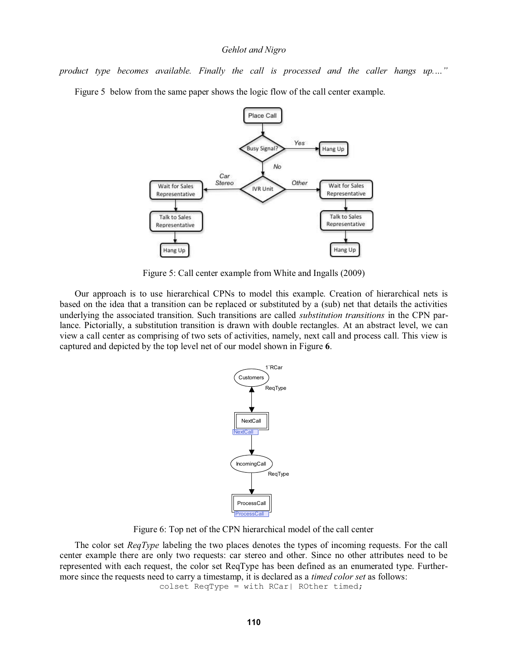*broduct type becomes available. Finally the call is processed and the caller hangs up...."* 

Figure 5 below from the same paper shows the logic flow of the call center example.



Figure 5: Call center example from White and Ingalls (2009)

Our approach is to use hierarchical CPNs to model this example. Creation of hierarchical nets is based on the idea that a transition can be replaced or substituted by a (sub) net that details the activities underlying the associated transition. Such transitions are called *substitution transitions* in the CPN parlance. Pictorially, a substitution transition is drawn with double rectangles. At an abstract level, we can view a call center as comprising of two sets of activities, namely, next call and process call. This view is captured and depicted by the top level net of our model shown in Figure **6**.



Figure 6: Top net of the CPN hierarchical model of the call center

The color set *ReqType* labeling the two places denotes the types of incoming requests. For the call center example there are only two requests: car stereo and other. Since no other attributes need to be represented with each request, the color set ReqType has been defined as an enumerated type. Furthermore since the requests need to carry a timestamp, it is declared as a *timed color set* as follows:

colset ReqType = with RCar| ROther timed;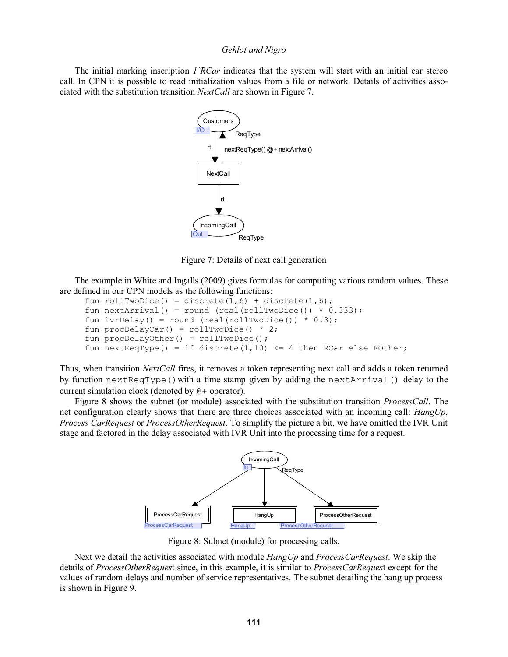The initial marking inscription *1`RCar* indicates that the system will start with an initial car stereo call. In CPN it is possible to read initialization values from a file or network. Details of activities associated with the substitution transition *NextCall* are shown in Figure 7.



Figure 7: Details of next call generation

The example in White and Ingalls (2009) gives formulas for computing various random values. These are defined in our CPN models as the following functions:

```
fun rollTwoDice() = discrete(1,6) + discrete(1,6);
fun nextArrival() = round (real(rollTwoDice()) * 0.333);
fun ivrDelay() = round (real(rollTwoDice()) * 0.3;
fun procDelayCar() = rollTwoDice() * 2;
fun procDelayOther() = rollTwoDice();
fun nextReqType() = if discrete(1,10) \leq 4 then RCar else ROther;
```
Thus, when transition *NextCall* fires, it removes a token representing next call and adds a token returned by function  $nextRefType()$  with a time stamp given by adding the nextArrival() delay to the current simulation clock (denoted by @+ operator).

 Figure 8 shows the subnet (or module) associated with the substitution transition *ProcessCall*. The net configuration clearly shows that there are three choices associated with an incoming call: *HangUp*, *Process CarRequest* or *ProcessOtherRequest*. To simplify the picture a bit, we have omitted the IVR Unit stage and factored in the delay associated with IVR Unit into the processing time for a request.



Figure 8: Subnet (module) for processing calls.

Next we detail the activities associated with module *HangUp* and *ProcessCarRequest*. We skip the details of *ProcessOtherReques*t since, in this example, it is similar to *ProcessCarReques*t except for the values of random delays and number of service representatives. The subnet detailing the hang up process is shown in Figure 9.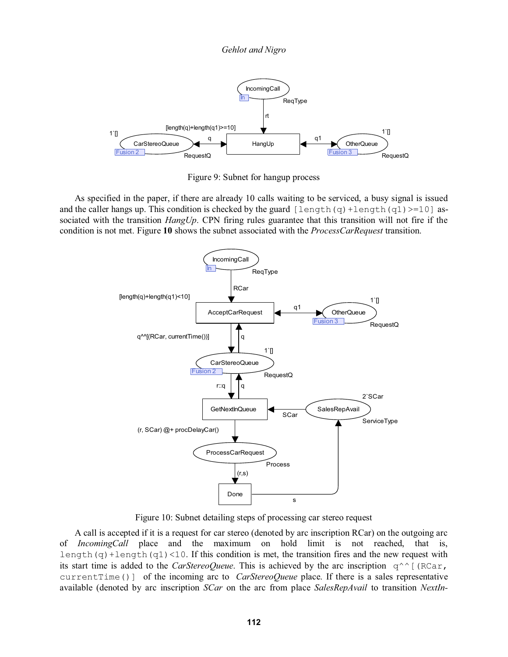

Figure 9: Subnet for hangup process

As specified in the paper, if there are already 10 calls waiting to be serviced, a busy signal is issued and the caller hangs up. This condition is checked by the guard  $[length(q) + length(q1)>=10]$  associated with the transition *HangUp*. CPN firing rules guarantee that this transition will not fire if the condition is not met. Figure **10** shows the subnet associated with the *ProcessCarRequest* transition.



Figure 10: Subnet detailing steps of processing car stereo request

A call is accepted if it is a request for car stereo (denoted by arc inscription RCar) on the outgoing arc of *IncomingCall* place and the maximum on hold limit is not reached, that is, length (q) +length (q1) <10. If this condition is met, the transition fires and the new request with its start time is added to the *CarStereoQueue*. This is achieved by the arc inscription  $q^{\wedge}$  [(RCar, currentTime()] of the incoming arc to *CarStereoQueue* place. If there is a sales representative available (denoted by arc inscription *SCar* on the arc from place *SalesRepAvail* to transition *NextIn-*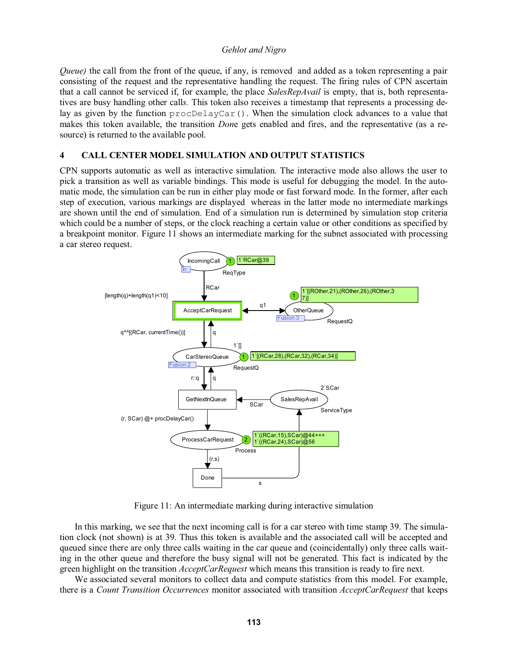*Queue*) the call from the front of the queue, if any, is removed and added as a token representing a pair consisting of the request and the representative handling the request. The firing rules of CPN ascertain that a call cannot be serviced if, for example, the place *SalesRepAvail* is empty, that is, both representatives are busy handling other call*s.* This token also receives a timestamp that represents a processing delay as given by the function  $\text{procDelayCar}($ ). When the simulation clock advances to a value that makes this token available, the transition *Don*e gets enabled and fires, and the representative (as a resource) is returned to the available pool.

# **4 CALL CENTER MODEL SIMULATION AND OUTPUT STATISTICS**

CPN supports automatic as well as interactive simulation. The interactive mode also allows the user to pick a transition as well as variable bindings. This mode is useful for debugging the model. In the automatic mode, the simulation can be run in either play mode or fast forward mode. In the former, after each step of execution, various markings are displayed whereas in the latter mode no intermediate markings are shown until the end of simulation. End of a simulation run is determined by simulation stop criteria which could be a number of steps, or the clock reaching a certain value or other conditions as specified by a breakpoint monitor. Figure 11 shows an intermediate marking for the subnet associated with processing a car stereo request.



Figure 11: An intermediate marking during interactive simulation

In this marking, we see that the next incoming call is for a car stereo with time stamp 39. The simulation clock (not shown) is at 39. Thus this token is available and the associated call will be accepted and queued since there are only three calls waiting in the car queue and (coincidentally) only three calls waiting in the other queue and therefore the busy signal will not be generated. This fact is indicated by the green highlight on the transition *AcceptCarRequest* which means this transition is ready to fire next*.*

We associated several monitors to collect data and compute statistics from this model. For example, there is a *Count Transition Occurrences* monitor associated with transition *AcceptCarRequest* that keeps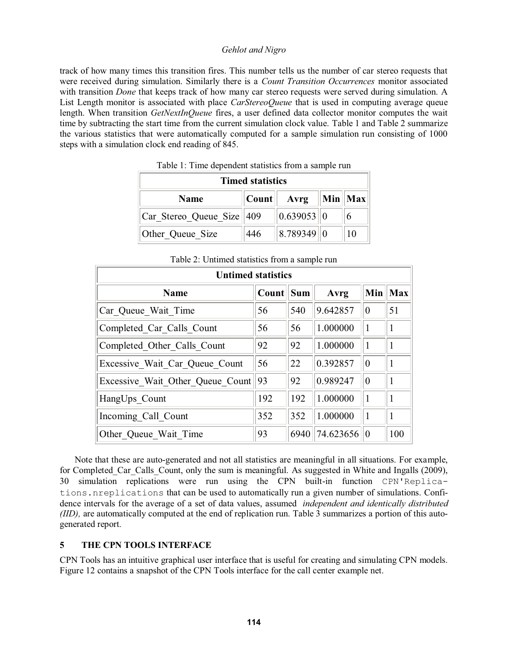track of how many times this transition fires. This number tells us the number of car stereo requests that were received during simulation. Similarly there is a *Count Transition Occurrences* monitor associated with transition *Done* that keeps track of how many car stereo requests were served during simulation. A List Length monitor is associated with place *CarStereoQueue* that is used in computing average queue length. When transition *GetNextInQueue* fires, a user defined data collector monitor computes the wait time by subtracting the start time from the current simulation clock value. Table 1 and Table 2 summarize the various statistics that were automatically computed for a sample simulation run consisting of 1000 steps with a simulation clock end reading of 845.

| Table 1. This appendent statistics from a sample run |     |                                |  |  |  |  |  |
|------------------------------------------------------|-----|--------------------------------|--|--|--|--|--|
| <b>Timed statistics</b>                              |     |                                |  |  |  |  |  |
| <b>Name</b>                                          |     | $ Count  $ Avrg $  Min  Max  $ |  |  |  |  |  |
| $ Car\_Stereo\_Queue\_Size $ 409                     |     | 0.639053  0                    |  |  |  |  |  |
| Other Queue Size                                     | 446 | 8.789349 0                     |  |  |  |  |  |

Table 1: Time dependent statistics from a sample run

| <b>Untimed statistics</b>        |            |      |           |                |                  |  |  |
|----------------------------------|------------|------|-----------|----------------|------------------|--|--|
| <b>Name</b>                      | Count  Sum |      | Avrg      |                | $Min$   Max      |  |  |
| Car Queue Wait Time              | 56         | 540  | 9.642857  | $\mathbf{0}$   | $\vert 51 \vert$ |  |  |
| Completed Car Calls Count        | 56         | 56   | 1.000000  | $\mathbf{1}$   |                  |  |  |
| Completed Other Calls Count      | 92         | 92   | 1.000000  | $\mathbf{1}$   | $\mathbf{1}$     |  |  |
| Excessive Wait Car Queue Count   | 56         | 22   | 0.392857  | $\mathbf{0}$   | -1               |  |  |
| Excessive Wait Other Queue Count | 93         | 92   | 0.989247  | $\theta$       | 1                |  |  |
| HangUps Count                    | 192        | 192  | 1.000000  | 1              | $\mathbf{1}$     |  |  |
| Incoming Call_Count              | 352        | 352  | 1.000000  | $\mathbf{1}$   | 1                |  |  |
| Other Queue Wait Time            | 93         | 6940 | 74.623656 | $\overline{0}$ | 100              |  |  |

Table 2: Untimed statistics from a sample run

Note that these are auto-generated and not all statistics are meaningful in all situations. For example, for Completed Car Calls Count, only the sum is meaningful. As suggested in White and Ingalls (2009), 30 simulation replications were run using the CPN built-in function CPN'Replications.nreplications that can be used to automatically run a given number of simulations. Confidence intervals for the average of a set of data values, assumed *independent and identically distributed (IID),* are automatically computed at the end of replication run. Table 3 summarizes a portion of this autogenerated report.

# **5 THE CPN TOOLS INTERFACE**

CPN Tools has an intuitive graphical user interface that is useful for creating and simulating CPN models. Figure 12 contains a snapshot of the CPN Tools interface for the call center example net.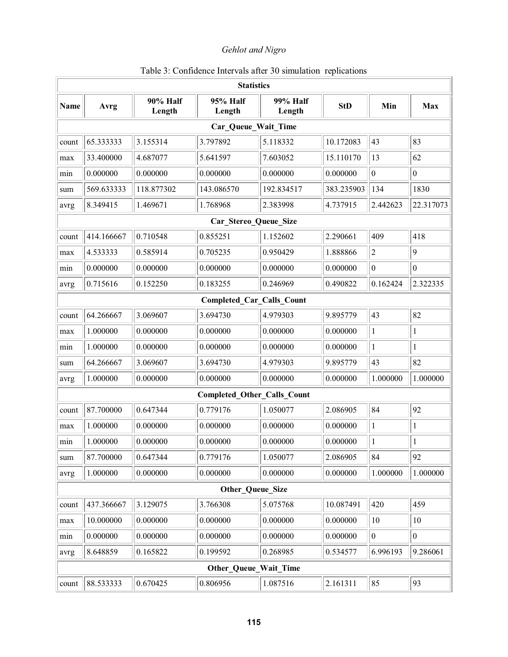| <b>Statistics</b>                |                     |                    |                                    |                    |            |                  |                  |  |  |
|----------------------------------|---------------------|--------------------|------------------------------------|--------------------|------------|------------------|------------------|--|--|
| Name                             | Avrg                | 90% Half<br>Length | 95% Half<br>Length                 | 99% Half<br>Length | <b>StD</b> | Min              | Max              |  |  |
|                                  | Car Queue Wait Time |                    |                                    |                    |            |                  |                  |  |  |
| count                            | 65.333333           | 3.155314           | 3.797892                           | 5.118332           | 10.172083  | 43               | 83               |  |  |
| max                              | 33.400000           | 4.687077           | 5.641597                           | 7.603052           | 15.110170  | 13               | 62               |  |  |
| min                              | 0.000000            | 0.000000           | 0.000000                           | 0.000000           | 0.000000   | $\boldsymbol{0}$ | $\boldsymbol{0}$ |  |  |
| sum                              | 569.633333          | 118.877302         | 143.086570                         | 192.834517         | 383.235903 | 134              | 1830             |  |  |
| avrg                             | 8.349415            | 1.469671           | 1.768968                           | 2.383998           | 4.737915   | 2.442623         | 22.317073        |  |  |
|                                  |                     |                    | Car Stereo Queue Size              |                    |            |                  |                  |  |  |
| count                            | 414.166667          | 0.710548           | 0.855251                           | 1.152602           | 2.290661   | 409              | 418              |  |  |
| max                              | 4.533333            | 0.585914           | 0.705235                           | 0.950429           | 1.888866   | $\overline{c}$   | 9                |  |  |
| min                              | 0.000000            | 0.000000           | 0.000000                           | 0.000000           | 0.000000   | $\boldsymbol{0}$ | $\boldsymbol{0}$ |  |  |
| avrg                             | 0.715616            | 0.152250           | 0.183255                           | 0.246969           | 0.490822   | 0.162424         | 2.322335         |  |  |
| <b>Completed Car Calls Count</b> |                     |                    |                                    |                    |            |                  |                  |  |  |
| count                            | 64.266667           | 3.069607           | 3.694730                           | 4.979303           | 9.895779   | 43               | 82               |  |  |
| max                              | 1.000000            | 0.000000           | 0.000000                           | 0.000000           | 0.000000   | $\mathbf{1}$     | $\mathbf{1}$     |  |  |
| min                              | 1.000000            | 0.000000           | 0.000000                           | 0.000000           | 0.000000   | $\mathbf{1}$     | $\mathbf{1}$     |  |  |
| sum                              | 64.266667           | 3.069607           | 3.694730                           | 4.979303           | 9.895779   | 43               | 82               |  |  |
| avrg                             | 1.000000            | 0.000000           | 0.000000                           | 0.000000           | 0.000000   | 1.000000         | 1.000000         |  |  |
|                                  |                     |                    | <b>Completed Other Calls Count</b> |                    |            |                  |                  |  |  |
| count                            | 87.700000           | 0.647344           | 0.779176                           | 1.050077           | 2.086905   | 84               | 92               |  |  |
| max                              | 1.000000            | 0.000000           | 0.000000                           | 0.000000           | 0.000000   | $\mathbf{1}$     | $\mathbf{1}$     |  |  |
| min                              | 1.000000            | 0.000000           | 0.000000                           | 0.000000           | 0.000000   | $\mathbf{1}$     | $\mathbf{1}$     |  |  |
| sum                              | 87.700000           | 0.647344           | 0.779176                           | 1.050077           | 2.086905   | 84               | 92               |  |  |
| avrg                             | 1.000000            | 0.000000           | 0.000000                           | 0.000000           | 0.000000   | 1.000000         | 1.000000         |  |  |
| <b>Other Queue Size</b>          |                     |                    |                                    |                    |            |                  |                  |  |  |
| count                            | 437.366667          | 3.129075           | 3.766308                           | 5.075768           | 10.087491  | 420              | 459              |  |  |
| max                              | 10.000000           | 0.000000           | 0.000000                           | 0.000000           | 0.000000   | 10               | 10               |  |  |
| min                              | 0.000000            | 0.000000           | 0.000000                           | 0.000000           | 0.000000   | $\boldsymbol{0}$ | $\boldsymbol{0}$ |  |  |
| avrg                             | 8.648859            | 0.165822           | 0.199592                           | 0.268985           | 0.534577   | 6.996193         | 9.286061         |  |  |
| <b>Other Queue Wait Time</b>     |                     |                    |                                    |                    |            |                  |                  |  |  |
| count                            | 88.533333           | 0.670425           | 0.806956                           | 1.087516           | 2.161311   | 85               | 93               |  |  |

# Table 3: Confidence Intervals after 30 simulation replications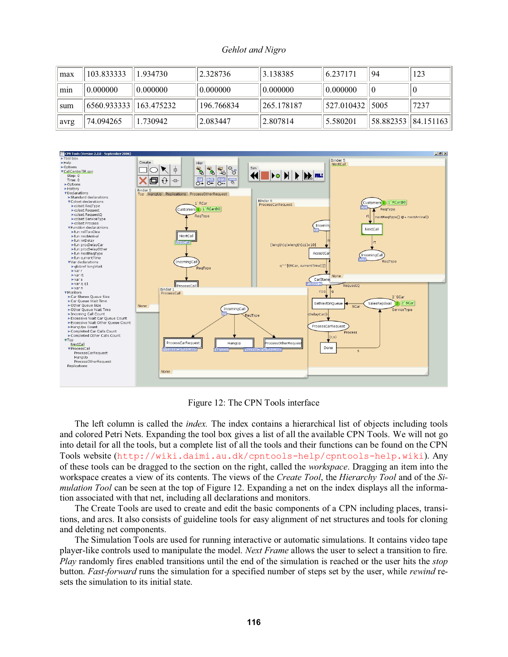| max  | 103.833333    | 1.934730   | 2.328736   | 3.138385   | 6.237171           | 94 | 123                   |
|------|---------------|------------|------------|------------|--------------------|----|-----------------------|
| min  | 0.000000      | 0.000000   | 0.000000   | 0.000000   | 0.000000           | 10 | 10                    |
| sum  | (6560.933333) | 163.475232 | 196.766834 | 265.178187 | 527.010432    5005 |    | 7237                  |
| avrg | 74.094265     | .730942    | 2.083447   | 2.807814   | 5.580201           |    | 58.882353   84.151163 |



Figure 12: The CPN Tools interface

The left column is called the *index.* The index contains a hierarchical list of objects including tools and colored Petri Nets. Expanding the tool box gives a list of all the available CPN Tools. We will not go into detail for all the tools, but a complete list of all the tools and their functions can be found on the CPN Tools website (http://wiki.daimi.au.dk/cpntools-help/cpntools-help.wiki). Any of these tools can be dragged to the section on the right, called the *workspace*. Dragging an item into the workspace creates a view of its contents. The views of the *Create Tool*, the *Hierarchy Tool* and of the *Simulation Tool* can be seen at the top of Figure 12. Expanding a net on the index displays all the information associated with that net, including all declarations and monitors.

The Create Tools are used to create and edit the basic components of a CPN including places, transitions, and arcs. It also consists of guideline tools for easy alignment of net structures and tools for cloning and deleting net components.

The Simulation Tools are used for running interactive or automatic simulations. It contains video tape player-like controls used to manipulate the model. *Next Frame* allows the user to select a transition to fire. *Play* randomly fires enabled transitions until the end of the simulation is reached or the user hits the *stop*  button. *Fast-forward* runs the simulation for a specified number of steps set by the user, while *rewind* resets the simulation to its initial state.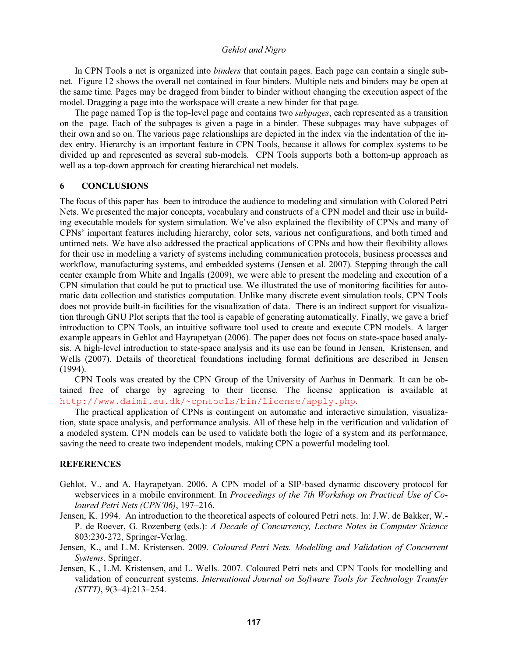In CPN Tools a net is organized into *binders* that contain pages. Each page can contain a single subnet. Figure 12 shows the overall net contained in four binders. Multiple nets and binders may be open at the same time. Pages may be dragged from binder to binder without changing the execution aspect of the model. Dragging a page into the workspace will create a new binder for that page.

The page named Top is the top-level page and contains two *subpages*, each represented as a transition on the page. Each of the subpages is given a page in a binder. These subpages may have subpages of their own and so on. The various page relationships are depicted in the index via the indentation of the index entry. Hierarchy is an important feature in CPN Tools, because it allows for complex systems to be divided up and represented as several sub-models. CPN Tools supports both a bottom-up approach as well as a top-down approach for creating hierarchical net models.

#### **6 CONCLUSIONS**

The focus of this paper has been to introduce the audience to modeling and simulation with Colored Petri Nets. We presented the major concepts, vocabulary and constructs of a CPN model and their use in building executable models for system simulation. We've also explained the flexibility of CPNs and many of CPNs' important features including hierarchy, color sets, various net configurations, and both timed and untimed nets. We have also addressed the practical applications of CPNs and how their flexibility allows for their use in modeling a variety of systems including communication protocols, business processes and workflow, manufacturing systems, and embedded systems (Jensen et al. 2007). Stepping through the call center example from White and Ingalls (2009), we were able to present the modeling and execution of a CPN simulation that could be put to practical use. We illustrated the use of monitoring facilities for automatic data collection and statistics computation. Unlike many discrete event simulation tools, CPN Tools does not provide built-in facilities for the visualization of data. There is an indirect support for visualization through GNU Plot scripts that the tool is capable of generating automatically. Finally, we gave a brief introduction to CPN Tools, an intuitive software tool used to create and execute CPN models. A larger example appears in Gehlot and Hayrapetyan (2006). The paper does not focus on state-space based analysis. A high-level introduction to state-space analysis and its use can be found in Jensen, Kristensen, and Wells (2007). Details of theoretical foundations including formal definitions are described in Jensen (1994).

CPN Tools was created by the CPN Group of the University of Aarhus in Denmark. It can be obtained free of charge by agreeing to their license. The license application is available at http://www.daimi.au.dk/~cpntools/bin/license/apply.php.

The practical application of CPNs is contingent on automatic and interactive simulation, visualization, state space analysis, and performance analysis. All of these help in the verification and validation of a modeled system. CPN models can be used to validate both the logic of a system and its performance, saving the need to create two independent models, making CPN a powerful modeling tool.

#### **REFERENCES**

- Gehlot, V., and A. Hayrapetyan. 2006. A CPN model of a SIP-based dynamic discovery protocol for webservices in a mobile environment. In *Proceedings of the 7th Workshop on Practical Use of Co loured Petri Nets (CPN'06)*, 197–216.
- Jensen, K. 1994. An introduction to the theoretical aspects of coloured Petri nets. In: J.W. de Bakker, W.- P. de Roever, G. Rozenberg (eds.): *A Decade of Concurrency, Lecture Notes in Computer Science* 803:230-272, Springer-Verlag.
- Jensen, K., and L.M. Kristensen. 2009. *Coloured Petri Nets. Modelling and Validation of Concurrent Systems*. Springer.
- Jensen, K., L.M. Kristensen, and L. Wells. 2007. Coloured Petri nets and CPN Tools for modelling and validation of concurrent systems. *International Journal on Software Tools for Technology Transfer (STTT)*, 9(3–4):213–254.